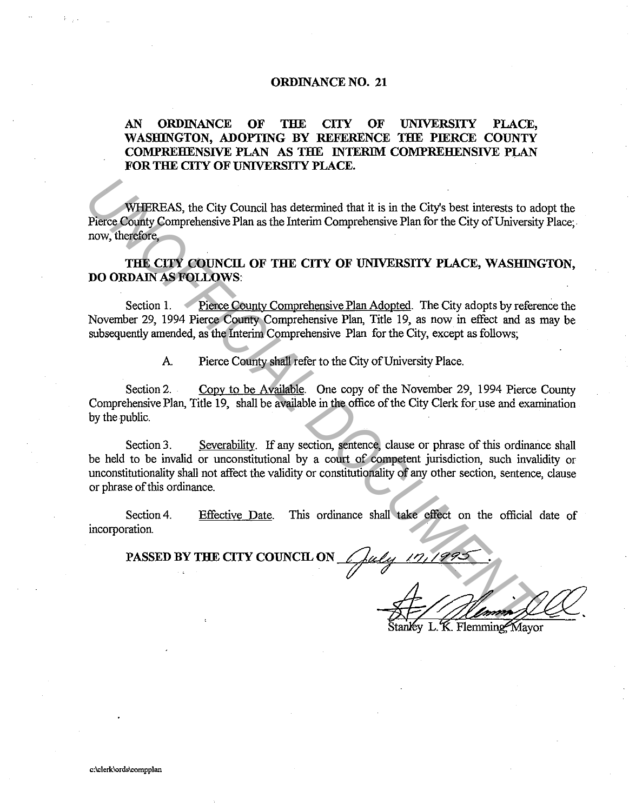## **ORDINANCE NO. 21**

## **AN ORDINANCE OF THE CITY OF UNIVERSITY PLACE, WASHINGTON, ADOPTING BY REFERENCE THE PIERCE COUNTY COMPREHENSIVE PLAN AS THE INTERIM COMPREHENSIVE PLAN FOR THE CITY OF UNIVERSITY PLACE.**

WHEREAS, the City Council has determined that it is in the City's best interests to adopt the Pierce County Comprehensive Plan as the Interim Comprehensive Plan for the City of University Place: now, therefore,

**THE CITY COUNCIL OF THE CITY OF UNIVERSITY PLACE, WASHINGTON, DO ORDAIN AS FOLLOWS:** 

Section 1. Pierce County Comprehensive Plan Adopted. The City adopts by reference the November 29, 1994 Pierce County Comprehensive Plan, Title 19, as now in effect and as may be subsequently amended, as the Interim Comprehensive Plan for the City, except as follows;

A. Pierce County shall refer to the City of University Place.

Section 2. Copy to be Available. One copy of the November 29, 1994 Pierce County Comprehensive Plan, Title 19, shall be available in the office of the City Clerk for use and examination by the public.

Section 3. Severability. If any section, sentence, clause or phrase of this ordinance shall be held to be invalid or unconstitutional by a court of competent jurisdiction, such invalidity or unconstitutionality shall not affect the validity or constitutionality of any other section, sentence, clause or phrase of this ordinance. **EXERCT AND ASSEM IN THE CITY COUNCIL ON**<br> **PHEREAS, the City Council has determined that it is in the City's best interests to a<br>
<b>INCREMENT COUNT COUNCIL OF THE CITY OF UNIVERSITY PLACE, WASHING**<br> **DO ORDAIN AS FOLLOWS:** 

Section 4. incorporation. Effective Date. This ordinance shall take effect on the official date of

**PASSED BY THE CITY COUNCIL ON** 

4 19/1993<br>Stanley L. K. Flemming, Mayor